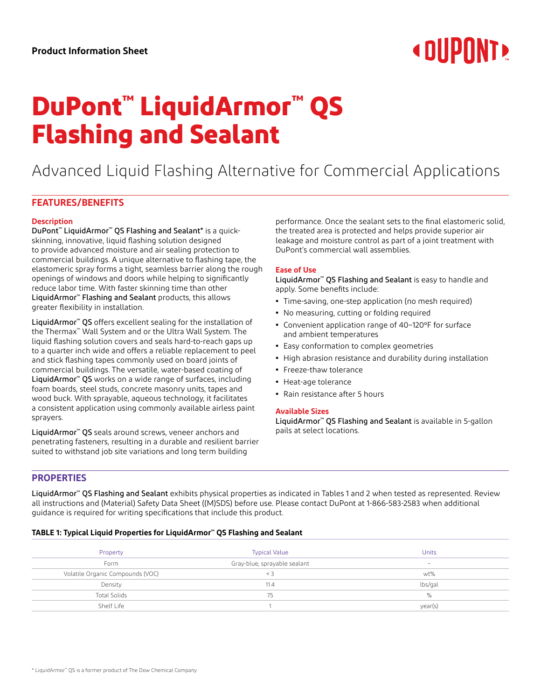# **« DUPNNT»**

# **DuPont™ LiquidArmor™ QS Flashing and Sealant**

# Advanced Liquid Flashing Alternative for Commercial Applications

# **FEATURES/BENEFITS**

#### **Description**

DuPont™ LiquidArmor™ QS Flashing and Sealant\* is a quickskinning, innovative, liquid flashing solution designed to provide advanced moisture and air sealing protection to commercial buildings. A unique alternative to flashing tape, the elastomeric spray forms a tight, seamless barrier along the rough openings of windows and doors while helping to significantly reduce labor time. With faster skinning time than other LiquidArmor™ Flashing and Sealant products, this allows greater flexibility in installation.

LiquidArmor™ QS offers excellent sealing for the installation of the Thermax™ Wall System and or the Ultra Wall System. The liquid flashing solution covers and seals hard-to-reach gaps up to a quarter inch wide and offers a reliable replacement to peel and stick flashing tapes commonly used on board joints of commercial buildings. The versatile, water-based coating of LiquidArmor<sup>™</sup> QS works on a wide range of surfaces, including foam boards, steel studs, concrete masonry units, tapes and wood buck. With sprayable, aqueous technology, it facilitates a consistent application using commonly available airless paint sprayers.

LiquidArmor™ QS seals around screws, veneer anchors and penetrating fasteners, resulting in a durable and resilient barrier suited to withstand job site variations and long term building

performance. Once the sealant sets to the final elastomeric solid, the treated area is protected and helps provide superior air leakage and moisture control as part of a joint treatment with DuPont's commercial wall assemblies.

### **Ease of Use**

LiquidArmor™ QS Flashing and Sealant is easy to handle and apply. Some benefits include:

- **•** Time-saving, one-step application (no mesh required)
- **•** No measuring, cutting or folding required
- **•** Convenient application range of 40–120ºF for surface and ambient temperatures
- **•** Easy conformation to complex geometries
- **•** High abrasion resistance and durability during installation
- **•** Freeze-thaw tolerance
- **•** Heat-age tolerance
- **•** Rain resistance after 5 hours

#### **Available Sizes**

LiquidArmor™ QS Flashing and Sealant is available in 5-gallon pails at select locations.

# **PROPERTIES**

LiquidArmor™ QS Flashing and Sealant exhibits physical properties as indicated in Tables 1 and 2 when tested as represented. Review all instructions and (Material) Safety Data Sheet ((M)SDS) before use. Please contact DuPont at 1-866-583-2583 when additional guidance is required for writing specifications that include this product.

#### **TABLE 1: Typical Liquid Properties for LiquidArmor™ QS Flashing and Sealant**

| Property                         | <b>Typical Value</b>         | Units                           |
|----------------------------------|------------------------------|---------------------------------|
| Form                             | Gray-blue, sprayable sealant | $\hspace{0.1mm}-\hspace{0.1mm}$ |
| Volatile Organic Compounds (VOC) | < २                          | wt%                             |
| Density                          | 11.4                         | lbs/gal                         |
| <b>Total Solids</b>              | 75                           | $\%$                            |
| Shelf Life                       |                              | year(s)                         |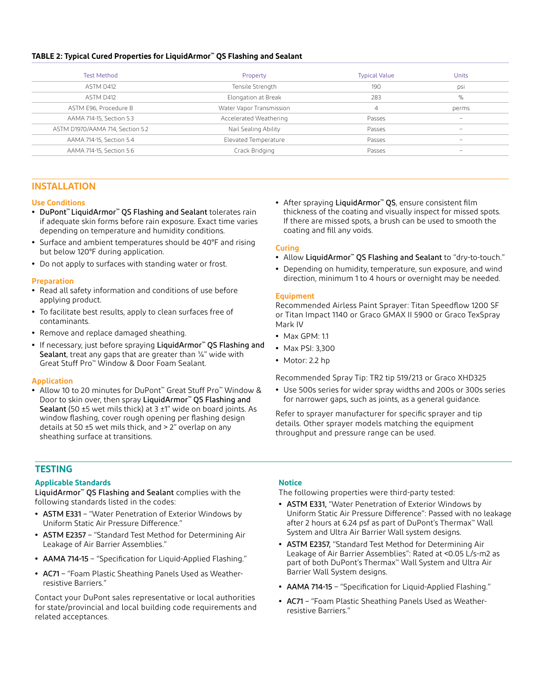#### **TABLE 2: Typical Cured Properties for LiquidArmor™ QS Flashing and Sealant**

| <b>Test Method</b>               | Property                 | <b>Typical Value</b> | <b>Units</b>             |  |
|----------------------------------|--------------------------|----------------------|--------------------------|--|
| ASTM D412                        | Tensile Strength         | 190                  | psi                      |  |
| ASTM D412                        | Elongation at Break      | 283                  | $\%$                     |  |
| ASTM E96, Procedure B            | Water Vapor Transmission | 4                    | perms                    |  |
| AAMA 714-15, Section 5.3         | Accelerated Weathering   | Passes               | $\sim$                   |  |
| ASTM D1970/AAMA 714, Section 5.2 | Nail Sealing Ability     | Passes               | $\equiv$                 |  |
| AAMA 714-15, Section 5.4         | Elevated Temperature     | Passes               | $\qquad \qquad$          |  |
| AAMA 714-15, Section 5.6         | Crack Bridging           | Passes               | $\overline{\phantom{a}}$ |  |
|                                  |                          |                      |                          |  |

# **INSTALLATION**

#### **Use Conditions**

- **•** DuPont™ LiquidArmor™ QS Flashing and Sealant tolerates rain if adequate skin forms before rain exposure. Exact time varies depending on temperature and humidity conditions.
- **•** Surface and ambient temperatures should be 40°F and rising but below 120°F during application.
- **•** Do not apply to surfaces with standing water or frost.

#### **Preparation**

- **•** Read all safety information and conditions of use before applying product.
- **•** To facilitate best results, apply to clean surfaces free of contaminants.
- **•** Remove and replace damaged sheathing.
- **•** If necessary, just before spraying LiquidArmor™ QS Flashing and Sealant, treat any gaps that are greater than 1/4" wide with Great Stuff Pro™ Window & Door Foam Sealant.

#### **Application**

**•** Allow 10 to 20 minutes for DuPont™ Great Stuff Pro™ Window & Door to skin over, then spray LiquidArmor™ QS Flashing and Sealant (50 ±5 wet mils thick) at 3 ±1" wide on board joints. As window flashing, cover rough opening per flashing design details at 50 ±5 wet mils thick, and > 2" overlap on any sheathing surface at transitions.

**•** After spraying LiquidArmor™ QS, ensure consistent film thickness of the coating and visually inspect for missed spots. If there are missed spots, a brush can be used to smooth the coating and fill any voids.

### **Curing**

- **•** Allow LiquidArmor™ QS Flashing and Sealant to "dry-to-touch."
- **•** Depending on humidity, temperature, sun exposure, and wind direction, minimum 1 to 4 hours or overnight may be needed.

#### **Equipment**

Recommended Airless Paint Sprayer: Titan Speedflow 1200 SF or Titan Impact 1140 or Graco GMAX II 5900 or Graco TexSpray Mark IV

- **•** Max GPM: 1.1
- **•** Max PSI: 3,300
- **•** Motor: 2.2 hp

Recommended Spray Tip: TR2 tip 519/213 or Graco XHD325

**•** Use 500s series for wider spray widths and 200s or 300s series for narrower gaps, such as joints, as a general guidance.

Refer to sprayer manufacturer for specific sprayer and tip details. Other sprayer models matching the equipment throughput and pressure range can be used.

# **TESTING**

#### **Applicable Standards**

LiquidArmor™ QS Flashing and Sealant complies with the following standards listed in the codes:

- **•** ASTM E331 "Water Penetration of Exterior Windows by Uniform Static Air Pressure Difference."
- **•** ASTM E2357 "Standard Test Method for Determining Air Leakage of Air Barrier Assemblies."
- **•** AAMA 714-15 "Specification for Liquid-Applied Flashing."
- **•** AC71 "Foam Plastic Sheathing Panels Used as Weatherresistive Barriers."

Contact your DuPont sales representative or local authorities for state/provincial and local building code requirements and related acceptances.

#### **Notice**

The following properties were third-party tested:

- **•** ASTM E331, "Water Penetration of Exterior Windows by Uniform Static Air Pressure Difference": Passed with no leakage after 2 hours at 6.24 psf as part of DuPont's Thermax™ Wall System and Ultra Air Barrier Wall system designs.
- **•** ASTM E2357, "Standard Test Method for Determining Air Leakage of Air Barrier Assemblies": Rated at <0.05 L/s-m2 as part of both DuPont's Thermax™ Wall System and Ultra Air Barrier Wall System designs.
- **•** AAMA 714-15 "Specification for Liquid-Applied Flashing."
- **•** AC71 "Foam Plastic Sheathing Panels Used as Weatherresistive Barriers."